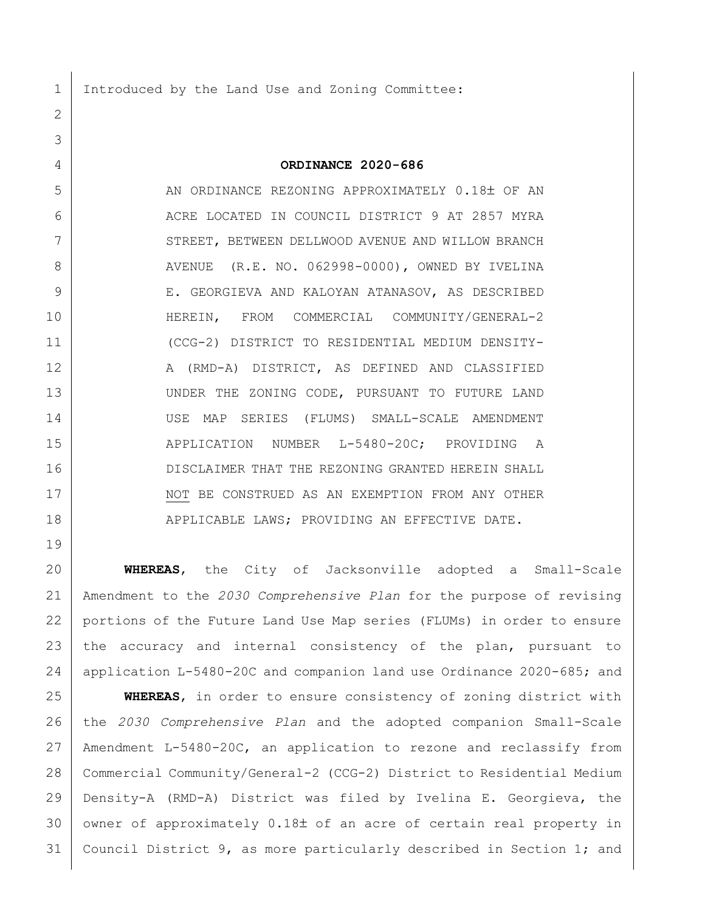1 Introduced by the Land Use and Zoning Committee:

**ORDINANCE 2020-686**

 AN ORDINANCE REZONING APPROXIMATELY 0.18 OF AN 6 ACRE LOCATED IN COUNCIL DISTRICT 9 AT 2857 MYRA 7 | STREET, BETWEEN DELLWOOD AVENUE AND WILLOW BRANCH 8 | AVENUE (R.E. NO. 062998-0000), OWNED BY IVELINA 9 E. GEORGIEVA AND KALOYAN ATANASOV, AS DESCRIBED HEREIN, FROM COMMERCIAL COMMUNITY/GENERAL-2 (CCG-2) DISTRICT TO RESIDENTIAL MEDIUM DENSITY-12 | A (RMD-A) DISTRICT, AS DEFINED AND CLASSIFIED 13 UNDER THE ZONING CODE, PURSUANT TO FUTURE LAND USE MAP SERIES (FLUMS) SMALL-SCALE AMENDMENT 15 | APPLICATION NUMBER L-5480-20C; PROVIDING A DISCLAIMER THAT THE REZONING GRANTED HEREIN SHALL 17 | NOT BE CONSTRUED AS AN EXEMPTION FROM ANY OTHER 18 | APPLICABLE LAWS; PROVIDING AN EFFECTIVE DATE.

 **WHEREAS**, the City of Jacksonville adopted a Small-Scale Amendment to the *2030 Comprehensive Plan* for the purpose of revising portions of the Future Land Use Map series (FLUMs) in order to ensure the accuracy and internal consistency of the plan, pursuant to application L-5480-20C and companion land use Ordinance 2020-685; and

 **WHEREAS**, in order to ensure consistency of zoning district with the *2030 Comprehensive Plan* and the adopted companion Small-Scale Amendment L-5480-20C, an application to rezone and reclassify from Commercial Community/General-2 (CCG-2) District to Residential Medium Density-A (RMD-A) District was filed by Ivelina E. Georgieva, the owner of approximately  $0.18\pm$  of an acre of certain real property in Council District 9, as more particularly described in Section 1; and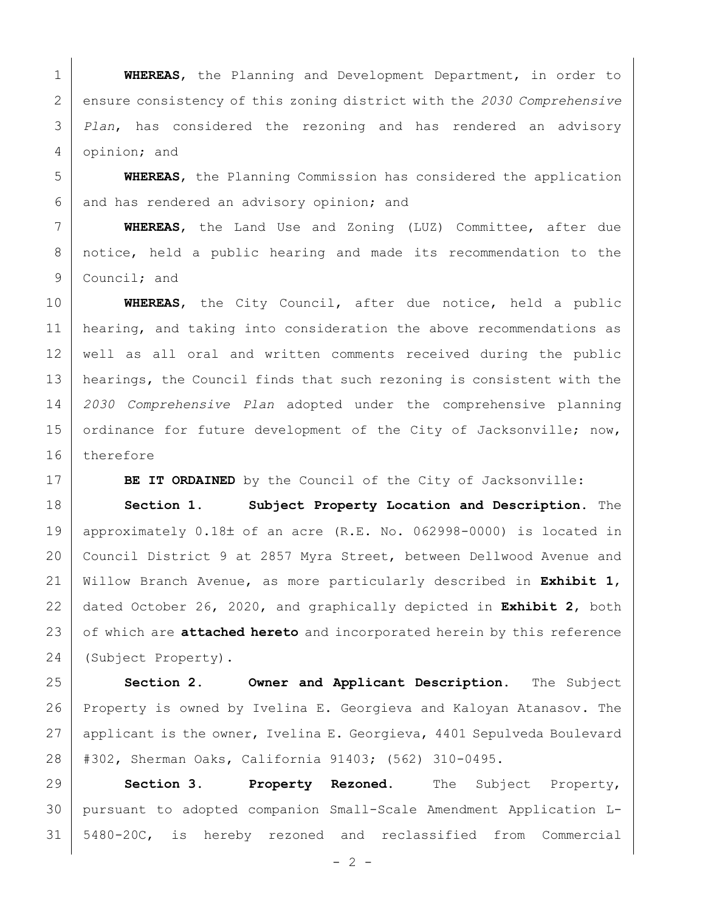**WHEREAS**, the Planning and Development Department, in order to ensure consistency of this zoning district with the *2030 Comprehensive Plan*, has considered the rezoning and has rendered an advisory opinion; and

 **WHEREAS**, the Planning Commission has considered the application 6 and has rendered an advisory opinion; and

 **WHEREAS**, the Land Use and Zoning (LUZ) Committee, after due notice, held a public hearing and made its recommendation to the 9 Council; and

 **WHEREAS**, the City Council, after due notice, held a public 11 | hearing, and taking into consideration the above recommendations as well as all oral and written comments received during the public hearings, the Council finds that such rezoning is consistent with the *2030 Comprehensive Plan* adopted under the comprehensive planning 15 ordinance for future development of the City of Jacksonville; now, therefore

**BE IT ORDAINED** by the Council of the City of Jacksonville:

 **Section 1. Subject Property Location and Description.** The 19 | approximately  $0.18\pm$  of an acre (R.E. No. 062998-0000) is located in Council District 9 at 2857 Myra Street, between Dellwood Avenue and Willow Branch Avenue, as more particularly described in **Exhibit 1**, dated October 26, 2020, and graphically depicted in **Exhibit 2**, both 23 of which are **attached hereto** and incorporated herein by this reference (Subject Property).

 **Section 2. Owner and Applicant Description.** The Subject Property is owned by Ivelina E. Georgieva and Kaloyan Atanasov. The 27 applicant is the owner, Ivelina E. Georgieva, 4401 Sepulveda Boulevard #302, Sherman Oaks, California 91403; (562) 310-0495.

 **Section 3. Property Rezoned.** The Subject Property, pursuant to adopted companion Small-Scale Amendment Application L-5480-20C, is hereby rezoned and reclassified from Commercial

 $- 2 -$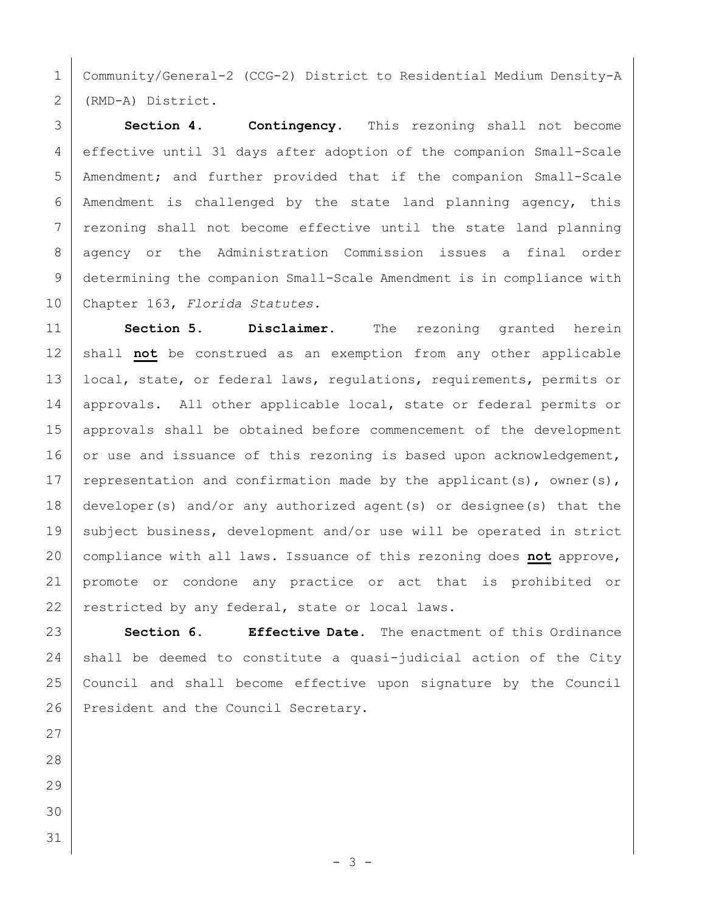Community/General-2 (CCG-2) District to Residential Medium Density-A (RMD-A) District.

 **Section 4. Contingency.** This rezoning shall not become effective until 31 days after adoption of the companion Small-Scale Amendment; and further provided that if the companion Small-Scale 6 | Amendment is challenged by the state land planning agency, this 7 rezoning shall not become effective until the state land planning 8 | agency or the Administration Commission issues a final order determining the companion Small-Scale Amendment is in compliance with Chapter 163, *Florida Statutes.*

 **Section 5. Disclaimer.** The rezoning granted herein 12 | shall not be construed as an exemption from any other applicable 13 | local, state, or federal laws, requiations, requirements, permits or 14 | approvals. All other applicable local, state or federal permits or approvals shall be obtained before commencement of the development 16 or use and issuance of this rezoning is based upon acknowledgement, 17 | representation and confirmation made by the applicant(s), owner(s), developer(s) and/or any authorized agent(s) or designee(s) that the 19 subject business, development and/or use will be operated in strict compliance with all laws. Issuance of this rezoning does **not** approve, promote or condone any practice or act that is prohibited or 22 restricted by any federal, state or local laws.

 **Section 6. Effective Date.** The enactment of this Ordinance shall be deemed to constitute a quasi-judicial action of the City Council and shall become effective upon signature by the Council 26 President and the Council Secretary.

- 
- 
- 
- 
-